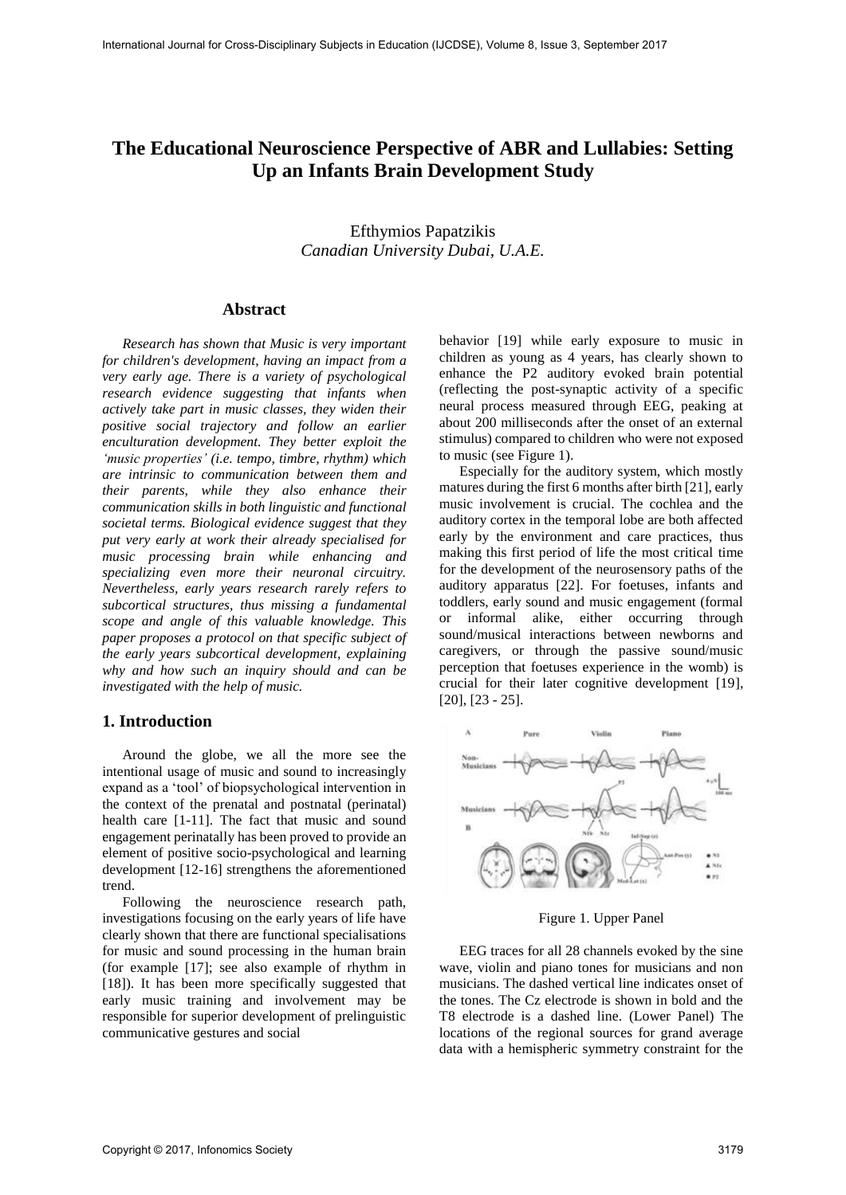# **The Educational Neuroscience Perspective of ABR and Lullabies: Setting Up an Infants Brain Development Study**

Efthymios Papatzikis *Canadian University Dubai, U.A.E.*

### **Abstract**

*Research has shown that Music is very important for children's development, having an impact from a very early age. There is a variety of psychological research evidence suggesting that infants when actively take part in music classes, they widen their positive social trajectory and follow an earlier enculturation development. They better exploit the 'music properties' (i.e. tempo, timbre, rhythm) which are intrinsic to communication between them and their parents, while they also enhance their communication skills in both linguistic and functional societal terms. Biological evidence suggest that they put very early at work their already specialised for music processing brain while enhancing and specializing even more their neuronal circuitry. Nevertheless, early years research rarely refers to subcortical structures, thus missing a fundamental scope and angle of this valuable knowledge. This paper proposes a protocol on that specific subject of the early years subcortical development, explaining why and how such an inquiry should and can be investigated with the help of music.* 

### **1. Introduction**

Around the globe, we all the more see the intentional usage of music and sound to increasingly expand as a 'tool' of biopsychological intervention in the context of the prenatal and postnatal (perinatal) health care [1-11]. The fact that music and sound engagement perinatally has been proved to provide an element of positive socio-psychological and learning development [12-16] strengthens the aforementioned trend.

Following the neuroscience research path, investigations focusing on the early years of life have clearly shown that there are functional specialisations for music and sound processing in the human brain (for example [17]; see also example of rhythm in [18]). It has been more specifically suggested that early music training and involvement may be responsible for superior development of prelinguistic communicative gestures and social

behavior [19] while early exposure to music in children as young as 4 years, has clearly shown to enhance the P2 auditory evoked brain potential (reflecting the [post-synaptic](http://en.wikipedia.org/wiki/Post-synaptic) activity of a specific neural process measured through EEG, peaking at about 200 milliseconds after the onset of an external stimulus) compared to children who were not exposed to music (see Figure 1).

Especially for the auditory system, which mostly matures during the first 6 months after birth [21], early music involvement is crucial. The cochlea and the auditory cortex in the temporal lobe are both affected early by the environment and care practices, thus making this first period of life the most critical time for the development of the neurosensory paths of the auditory apparatus [22]. For foetuses, infants and toddlers, early sound and music engagement (formal or informal alike, either occurring through sound/musical interactions between newborns and caregivers, or through the passive sound/music perception that foetuses experience in the womb) is crucial for their later cognitive development [19], [20], [23 - 25].



Figure 1. Upper Panel

EEG traces for all 28 channels evoked by the sine wave, violin and piano tones for musicians and non musicians. The dashed vertical line indicates onset of the tones. The Cz electrode is shown in bold and the T8 electrode is a dashed line. (Lower Panel) The locations of the regional sources for grand average data with a hemispheric symmetry constraint for the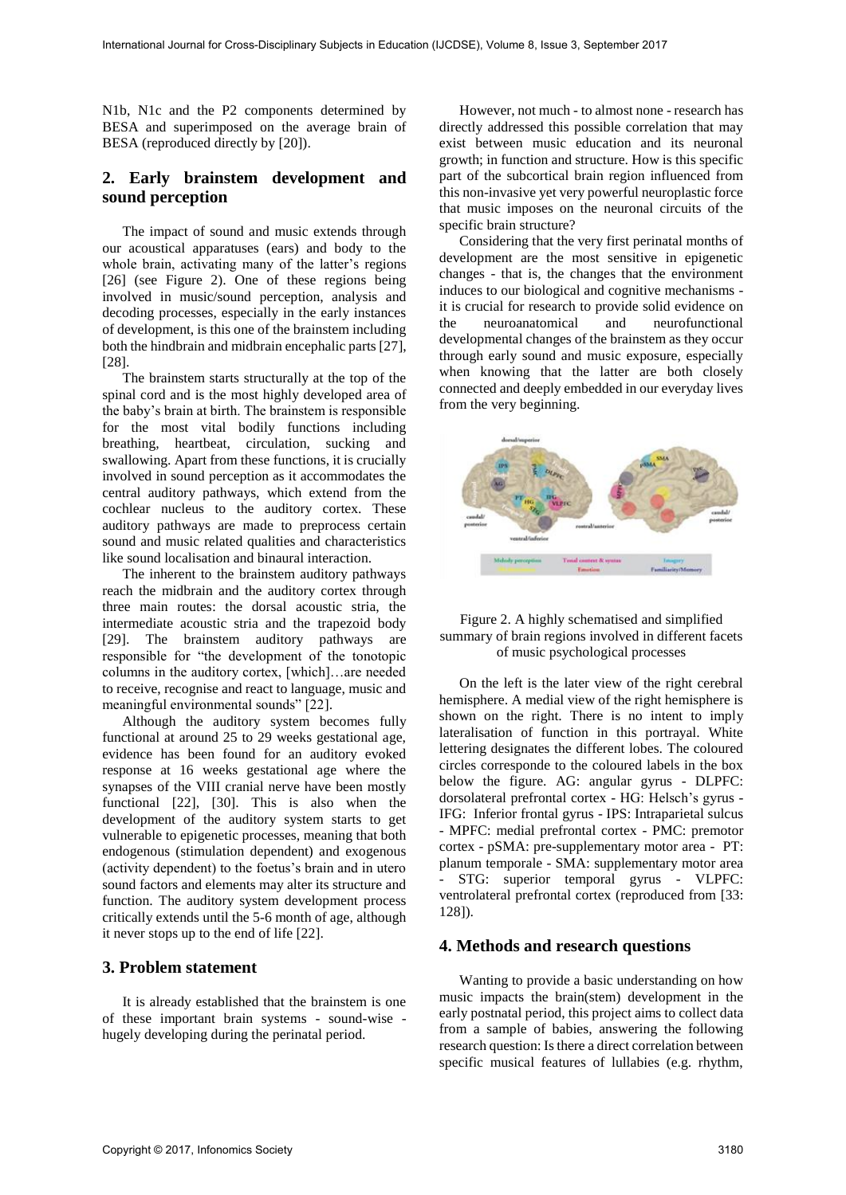N1b, N1c and the P2 components determined by BESA and superimposed on the average brain of BESA (reproduced directly by [20]).

# **2. Early brainstem development and sound perception**

The impact of sound and music extends through our acoustical apparatuses (ears) and body to the whole brain, activating many of the latter's regions [26] (see Figure 2). One of these regions being involved in music/sound perception, analysis and decoding processes, especially in the early instances of development, is this one of the brainstem including both the hindbrain and midbrain encephalic parts [27], [28].

The brainstem starts structurally at the top of the spinal cord and is the most highly developed area of the baby's brain at birth. The brainstem is responsible for the most vital bodily functions including breathing, heartbeat, circulation, sucking and swallowing. Apart from these functions, it is crucially involved in sound perception as it accommodates the central auditory pathways, which extend from the cochlear nucleus to the auditory cortex. These auditory pathways are made to preprocess certain sound and music related qualities and characteristics like sound localisation and binaural interaction.

The inherent to the brainstem auditory pathways reach the midbrain and the auditory cortex through three main routes: the dorsal acoustic stria, the intermediate acoustic stria and the trapezoid body [29]. The brainstem auditory pathways are responsible for "the development of the tonotopic columns in the auditory cortex, [which]…are needed to receive, recognise and react to language, music and meaningful environmental sounds" [22].

Although the auditory system becomes fully functional at around 25 to 29 weeks gestational age, evidence has been found for an auditory evoked response at 16 weeks gestational age where the synapses of the VIII cranial nerve have been mostly functional [22], [30]. This is also when the development of the auditory system starts to get vulnerable to epigenetic processes, meaning that both endogenous (stimulation dependent) and exogenous (activity dependent) to the foetus's brain and in utero sound factors and elements may alter its structure and function. The auditory system development process critically extends until the 5-6 month of age, although it never stops up to the end of life [22].

#### **3. Problem statement**

It is already established that the brainstem is one of these important brain systems - sound-wise hugely developing during the perinatal period.

However, not much - to almost none - research has directly addressed this possible correlation that may exist between music education and its neuronal growth; in function and structure. How is this specific part of the subcortical brain region influenced from this non-invasive yet very powerful neuroplastic force that music imposes on the neuronal circuits of the specific brain structure?

Considering that the very first perinatal months of development are the most sensitive in epigenetic changes - that is, the changes that the environment induces to our biological and cognitive mechanisms it is crucial for research to provide solid evidence on the neuroanatomical and neurofunctional developmental changes of the brainstem as they occur through early sound and music exposure, especially when knowing that the latter are both closely connected and deeply embedded in our everyday lives from the very beginning.



#### Figure 2. A highly schematised and simplified summary of brain regions involved in different facets of music psychological processes

On the left is the later view of the right cerebral hemisphere. A medial view of the right hemisphere is shown on the right. There is no intent to imply lateralisation of function in this portrayal. White lettering designates the different lobes. The coloured circles corresponde to the coloured labels in the box below the figure. AG: angular gyrus - DLPFC: dorsolateral prefrontal cortex - HG: Helsch's gyrus - IFG: Inferior frontal gyrus - IPS: Intraparietal sulcus - MPFC: medial prefrontal cortex - PMC: premotor cortex - pSMA: pre-supplementary motor area - PT: planum temporale - SMA: supplementary motor area - STG: superior temporal gyrus - VLPFC: ventrolateral prefrontal cortex (reproduced from [33: 128]).

#### **4. Methods and research questions**

Wanting to provide a basic understanding on how music impacts the brain(stem) development in the early postnatal period, this project aims to collect data from a sample of babies, answering the following research question: Is there a direct correlation between specific musical features of lullabies (e.g. rhythm,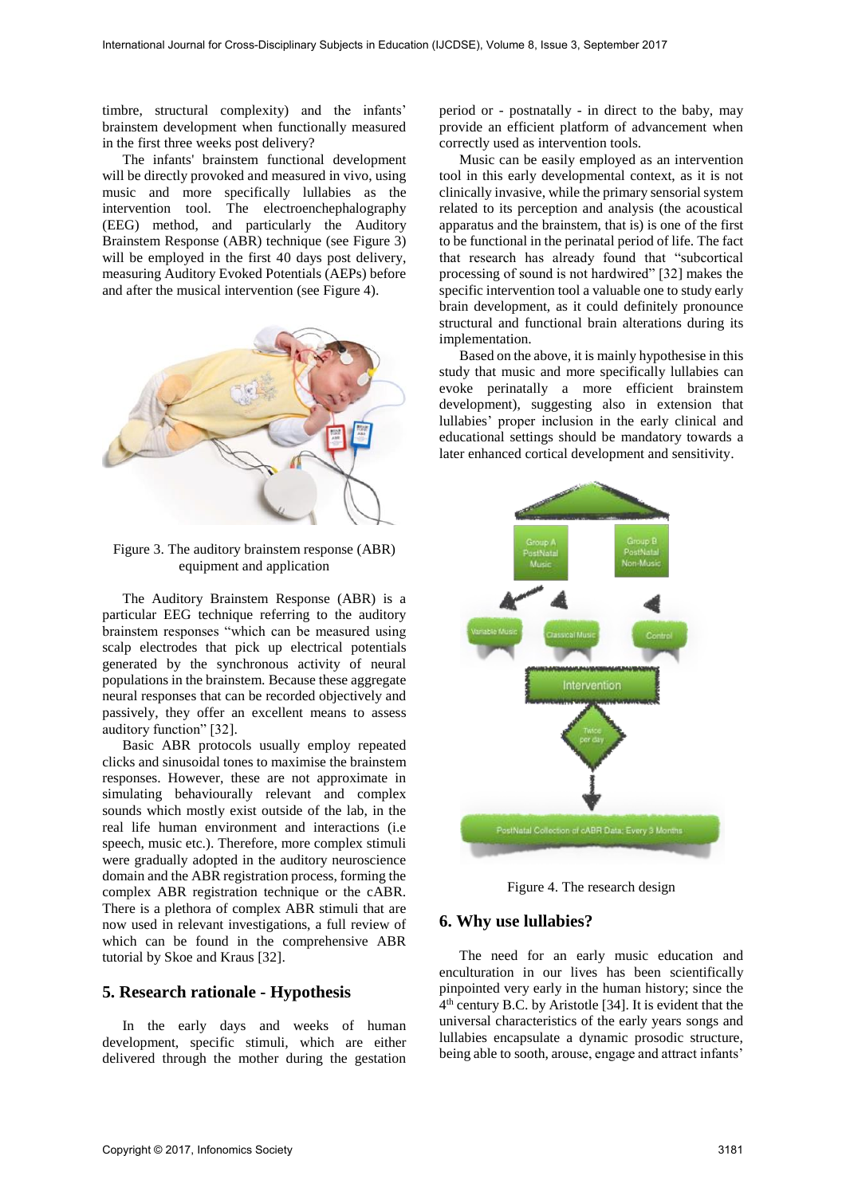timbre, structural complexity) and the infants' brainstem development when functionally measured in the first three weeks post delivery?

The infants' brainstem functional development will be directly provoked and measured in vivo, using music and more specifically lullabies as the intervention tool. The electroenchephalography (EEG) method, and particularly the Auditory Brainstem Response (ABR) technique (see Figure 3) will be employed in the first 40 days post delivery, measuring Auditory Evoked Potentials (AEPs) before and after the musical intervention (see Figure 4).



Figure 3. The auditory brainstem response (ABR) equipment and application

The Auditory Brainstem Response (ABR) is a particular EEG technique referring to the auditory brainstem responses "which can be measured using scalp electrodes that pick up electrical potentials generated by the synchronous activity of neural populations in the brainstem. Because these aggregate neural responses that can be recorded objectively and passively, they offer an excellent means to assess auditory function" [32].

Basic ABR protocols usually employ repeated clicks and sinusoidal tones to maximise the brainstem responses. However, these are not approximate in simulating behaviourally relevant and complex sounds which mostly exist outside of the lab, in the real life human environment and interactions (i.e speech, music etc.). Therefore, more complex stimuli were gradually adopted in the auditory neuroscience domain and the ABR registration process, forming the complex ABR registration technique or the cABR. There is a plethora of complex ABR stimuli that are now used in relevant investigations, a full review of which can be found in the comprehensive ABR tutorial by Skoe and Kraus [32].

### **5. Research rationale - Hypothesis**

In the early days and weeks of human development, specific stimuli, which are either delivered through the mother during the gestation

period or - postnatally - in direct to the baby, may provide an efficient platform of advancement when correctly used as intervention tools.

Music can be easily employed as an intervention tool in this early developmental context, as it is not clinically invasive, while the primary sensorial system related to its perception and analysis (the acoustical apparatus and the brainstem, that is) is one of the first to be functional in the perinatal period of life. The fact that research has already found that "subcortical processing of sound is not hardwired" [32] makes the specific intervention tool a valuable one to study early brain development, as it could definitely pronounce structural and functional brain alterations during its implementation.

Based on the above, it is mainly hypothesise in this study that music and more specifically lullabies can evoke perinatally a more efficient brainstem development), suggesting also in extension that lullabies' proper inclusion in the early clinical and educational settings should be mandatory towards a later enhanced cortical development and sensitivity.



Figure 4. The research design

#### **6. Why use lullabies?**

The need for an early music education and enculturation in our lives has been scientifically pinpointed very early in the human history; since the 4 th century B.C. by Aristotle [34]. It is evident that the universal characteristics of the early years songs and lullabies encapsulate a dynamic prosodic structure, being able to sooth, arouse, engage and attract infants'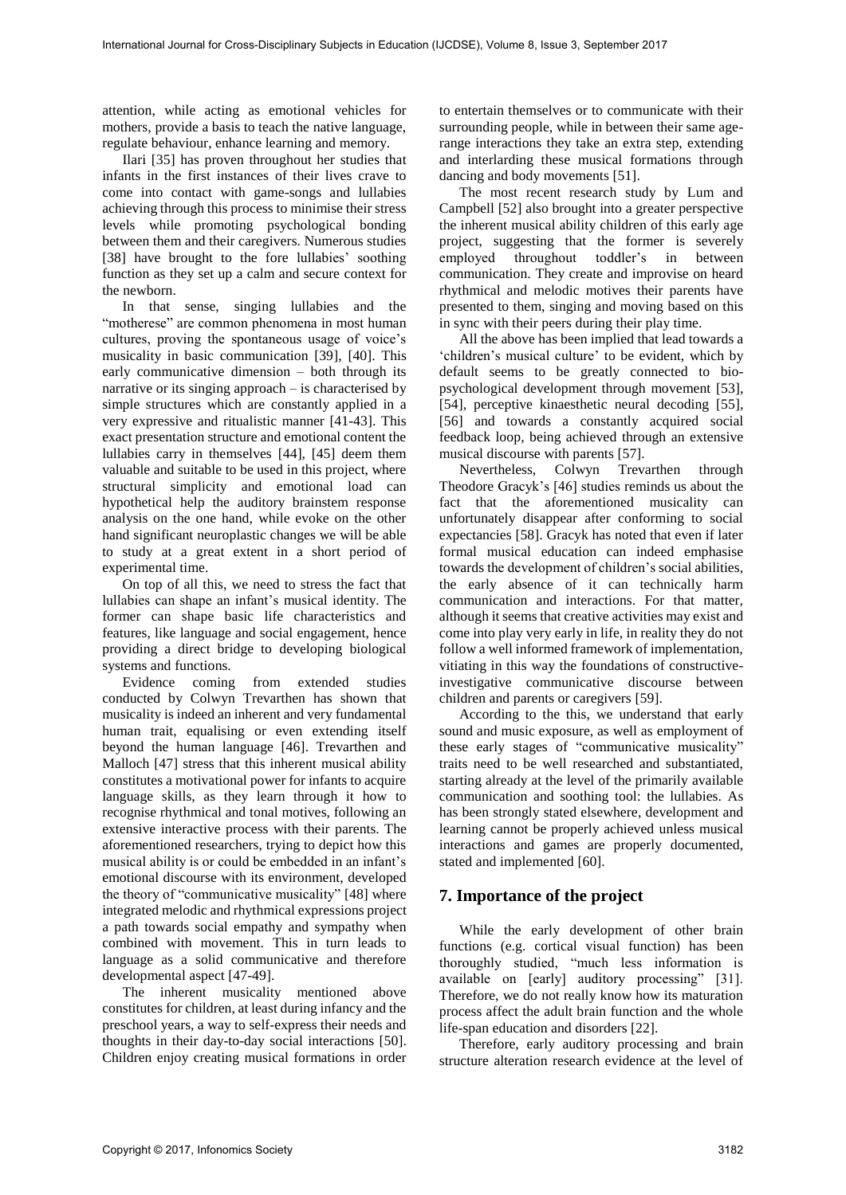attention, while acting as emotional vehicles for mothers, provide a basis to teach the native language, regulate behaviour, enhance learning and memory.

Ilari [35] has proven throughout her studies that infants in the first instances of their lives crave to come into contact with game-songs and lullabies achieving through this process to minimise their stress levels while promoting psychological bonding between them and their caregivers. Numerous studies [38] have brought to the fore lullabies' soothing function as they set up a calm and secure context for the newborn.

In that sense, singing lullabies and the "motherese" are common phenomena in most human cultures, proving the spontaneous usage of voice's musicality in basic communication [39], [40]. This early communicative dimension – both through its narrative or its singing approach – is characterised by simple structures which are constantly applied in a very expressive and ritualistic manner [41-43]. This exact presentation structure and emotional content the lullabies carry in themselves [44], [45] deem them valuable and suitable to be used in this project, where structural simplicity and emotional load can hypothetical help the auditory brainstem response analysis on the one hand, while evoke on the other hand significant neuroplastic changes we will be able to study at a great extent in a short period of experimental time.

On top of all this, we need to stress the fact that lullabies can shape an infant's musical identity. The former can shape basic life characteristics and features, like language and social engagement, hence providing a direct bridge to developing biological systems and functions.

Evidence coming from extended studies conducted by Colwyn Trevarthen has shown that musicality is indeed an inherent and very fundamental human trait, equalising or even extending itself beyond the human language [46]. Trevarthen and Malloch [47] stress that this inherent musical ability constitutes a motivational power for infants to acquire language skills, as they learn through it how to recognise rhythmical and tonal motives, following an extensive interactive process with their parents. The aforementioned researchers, trying to depict how this musical ability is or could be embedded in an infant's emotional discourse with its environment, developed the theory of "communicative musicality" [48] where integrated melodic and rhythmical expressions project a path towards social empathy and sympathy when combined with movement. This in turn leads to language as a solid communicative and therefore developmental aspect [47-49].

The inherent musicality mentioned above constitutes for children, at least during infancy and the preschool years, a way to self-express their needs and thoughts in their day-to-day social interactions [50]. Children enjoy creating musical formations in order to entertain themselves or to communicate with their surrounding people, while in between their same agerange interactions they take an extra step, extending and interlarding these musical formations through dancing and body movements [51].

The most recent research study by Lum and Campbell [52] also brought into a greater perspective the inherent musical ability children of this early age project, suggesting that the former is severely employed throughout toddler's in between communication. They create and improvise on heard rhythmical and melodic motives their parents have presented to them, singing and moving based on this in sync with their peers during their play time.

All the above has been implied that lead towards a 'children's musical culture' to be evident, which by default seems to be greatly connected to biopsychological development through movement [53], [54], perceptive kinaesthetic neural decoding [55], [56] and towards a constantly acquired social feedback loop, being achieved through an extensive musical discourse with parents [57].

Nevertheless, Colwyn Trevarthen through Theodore Gracyk's [46] studies reminds us about the fact that the aforementioned musicality can unfortunately disappear after conforming to social expectancies [58]. Gracyk has noted that even if later formal musical education can indeed emphasise towards the development of children's social abilities, the early absence of it can technically harm communication and interactions. For that matter, although it seems that creative activities may exist and come into play very early in life, in reality they do not follow a well informed framework of implementation, vitiating in this way the foundations of constructiveinvestigative communicative discourse between children and parents or caregivers [59].

According to the this, we understand that early sound and music exposure, as well as employment of these early stages of "communicative musicality" traits need to be well researched and substantiated, starting already at the level of the primarily available communication and soothing tool: the lullabies. As has been strongly stated elsewhere, development and learning cannot be properly achieved unless musical interactions and games are properly documented, stated and implemented [60].

## **7. Importance of the project**

While the early development of other brain functions (e.g. cortical visual function) has been thoroughly studied, "much less information is available on [early] auditory processing" [31]. Therefore, we do not really know how its maturation process affect the adult brain function and the whole life-span education and disorders [22].

Therefore, early auditory processing and brain structure alteration research evidence at the level of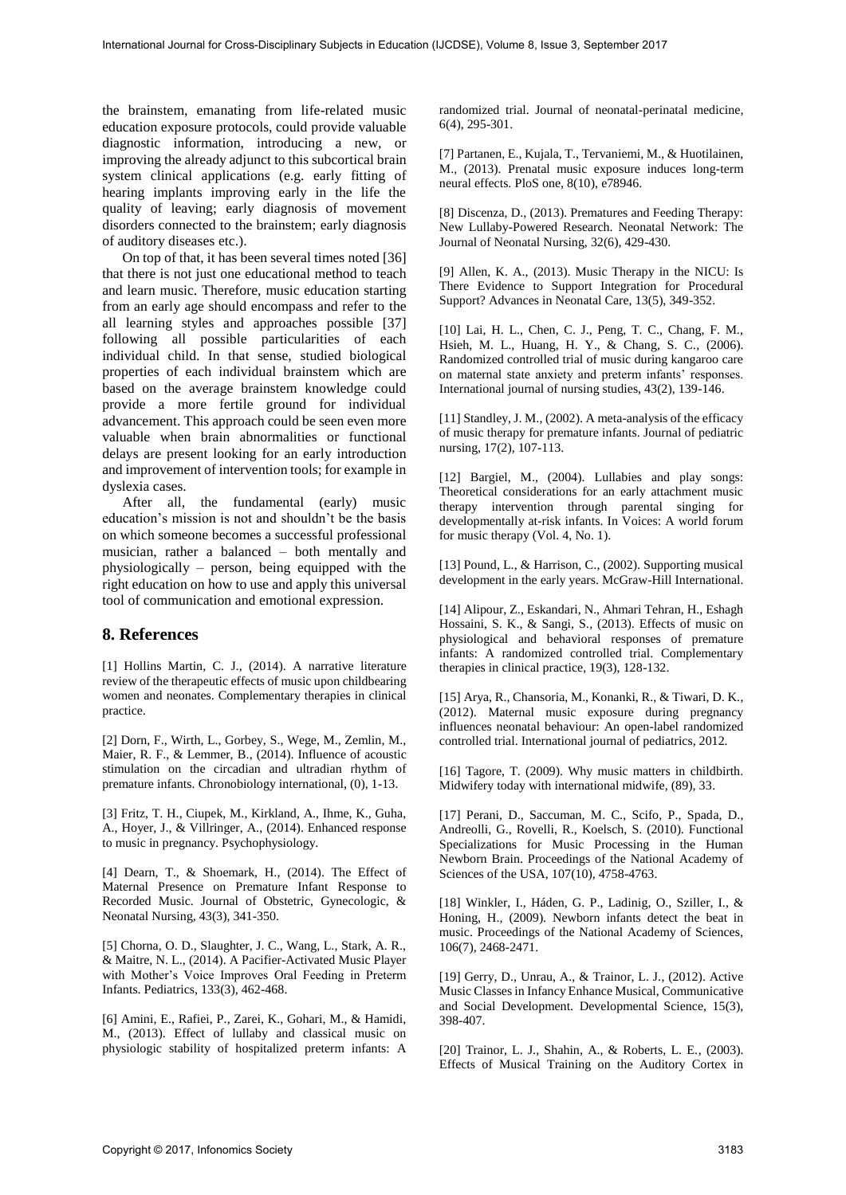the brainstem, emanating from life-related music education exposure protocols, could provide valuable diagnostic information, introducing a new, or improving the already adjunct to this subcortical brain system clinical applications (e.g. early fitting of hearing implants improving early in the life the quality of leaving; early diagnosis of movement disorders connected to the brainstem; early diagnosis of auditory diseases etc.).

On top of that, it has been several times noted [36] that there is not just one educational method to teach and learn music. Therefore, music education starting from an early age should encompass and refer to the all learning styles and approaches possible [37] following all possible particularities of each individual child. In that sense, studied biological properties of each individual brainstem which are based on the average brainstem knowledge could provide a more fertile ground for individual advancement. This approach could be seen even more valuable when brain abnormalities or functional delays are present looking for an early introduction and improvement of intervention tools; for example in dyslexia cases.

After all, the fundamental (early) music education's mission is not and shouldn't be the basis on which someone becomes a successful professional musician, rather a balanced – both mentally and physiologically – person, being equipped with the right education on how to use and apply this universal tool of communication and emotional expression.

# **8. References**

[1] Hollins Martin, C. J., (2014). A narrative literature review of the therapeutic effects of music upon childbearing women and neonates. Complementary therapies in clinical practice.

[2] Dorn, F., Wirth, L., Gorbey, S., Wege, M., Zemlin, M., Maier, R. F., & Lemmer, B., (2014). Influence of acoustic stimulation on the circadian and ultradian rhythm of premature infants. Chronobiology international, (0), 1-13.

[3] Fritz, T. H., Ciupek, M., Kirkland, A., Ihme, K., Guha, A., Hoyer, J., & Villringer, A., (2014). Enhanced response to music in pregnancy. Psychophysiology.

[4] Dearn, T., & Shoemark, H., (2014). The Effect of Maternal Presence on Premature Infant Response to Recorded Music. Journal of Obstetric, Gynecologic, & Neonatal Nursing, 43(3), 341-350.

[5] Chorna, O. D., Slaughter, J. C., Wang, L., Stark, A. R., & Maitre, N. L., (2014). A Pacifier-Activated Music Player with Mother's Voice Improves Oral Feeding in Preterm Infants. Pediatrics, 133(3), 462-468.

[6] Amini, E., Rafiei, P., Zarei, K., Gohari, M., & Hamidi, M., (2013). Effect of lullaby and classical music on physiologic stability of hospitalized preterm infants: A

randomized trial. Journal of neonatal-perinatal medicine, 6(4), 295-301.

[7] Partanen, E., Kujala, T., Tervaniemi, M., & Huotilainen, M., (2013). Prenatal music exposure induces long-term neural effects. PloS one, 8(10), e78946.

[8] Discenza, D., (2013). Prematures and Feeding Therapy: New Lullaby-Powered Research. Neonatal Network: The Journal of Neonatal Nursing, 32(6), 429-430.

[9] Allen, K. A., (2013). Music Therapy in the NICU: Is There Evidence to Support Integration for Procedural Support? Advances in Neonatal Care, 13(5), 349-352.

[10] Lai, H. L., Chen, C. J., Peng, T. C., Chang, F. M., Hsieh, M. L., Huang, H. Y., & Chang, S. C., (2006). Randomized controlled trial of music during kangaroo care on maternal state anxiety and preterm infants' responses. International journal of nursing studies, 43(2), 139-146.

[11] Standley, J. M., (2002). A meta-analysis of the efficacy of music therapy for premature infants. Journal of pediatric nursing, 17(2), 107-113.

[12] Bargiel, M., (2004). Lullabies and play songs: Theoretical considerations for an early attachment music therapy intervention through parental singing for developmentally at-risk infants. In Voices: A world forum for music therapy (Vol. 4, No. 1).

[13] Pound, L., & Harrison, C., (2002). Supporting musical development in the early years. McGraw-Hill International.

[14] Alipour, Z., Eskandari, N., Ahmari Tehran, H., Eshagh Hossaini, S. K., & Sangi, S., (2013). Effects of music on physiological and behavioral responses of premature infants: A randomized controlled trial. Complementary therapies in clinical practice, 19(3), 128-132.

[15] Arya, R., Chansoria, M., Konanki, R., & Tiwari, D. K., (2012). Maternal music exposure during pregnancy influences neonatal behaviour: An open-label randomized controlled trial. International journal of pediatrics, 2012.

[16] Tagore, T. (2009). Why music matters in childbirth. Midwifery today with international midwife, (89), 33.

[17] Perani, D., Saccuman, M. C., Scifo, P., Spada, D., Andreolli, G., Rovelli, R., Koelsch, S. (2010). Functional Specializations for Music Processing in the Human Newborn Brain. Proceedings of the National Academy of Sciences of the USA, 107(10), 4758-4763.

[18] Winkler, I., Háden, G. P., Ladinig, O., Sziller, I., & Honing, H., (2009). Newborn infants detect the beat in music. Proceedings of the National Academy of Sciences, 106(7), 2468-2471.

[19] Gerry, D., Unrau, A., & Trainor, L. J., (2012). Active Music Classes in Infancy Enhance Musical, Communicative and Social Development. Developmental Science, 15(3), 398-407.

[20] Trainor, L. J., Shahin, A., & Roberts, L. E., (2003). Effects of Musical Training on the Auditory Cortex in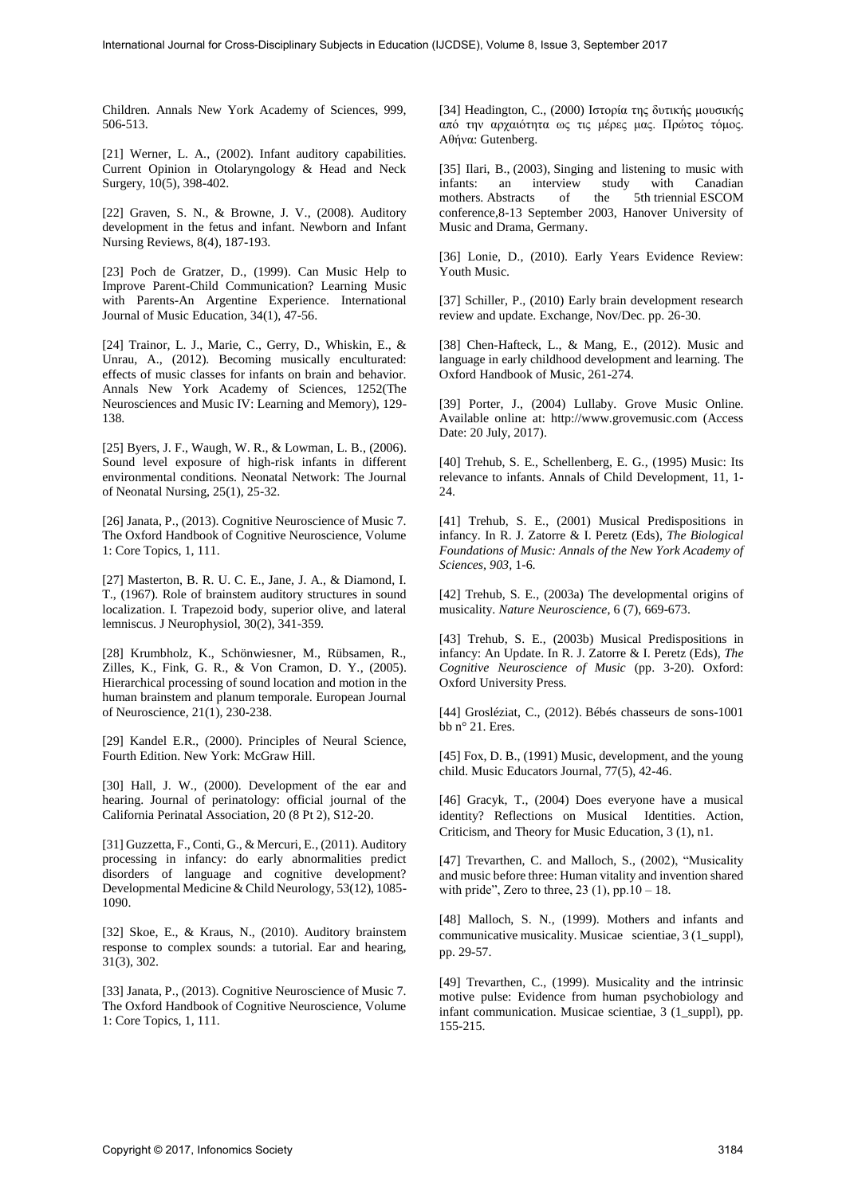Children. Annals New York Academy of Sciences, 999, 506-513.

[21] Werner, L. A., (2002). Infant auditory capabilities. Current Opinion in Otolaryngology & Head and Neck Surgery, 10(5), 398-402.

[22] Graven, S. N., & Browne, J. V., (2008). Auditory development in the fetus and infant. Newborn and Infant Nursing Reviews, 8(4), 187-193.

[23] Poch de Gratzer, D., (1999). Can Music Help to Improve Parent-Child Communication? Learning Music with Parents-An Argentine Experience. International Journal of Music Education, 34(1), 47-56.

[24] Trainor, L. J., Marie, C., Gerry, D., Whiskin, E., & Unrau, A., (2012). Becoming musically enculturated: effects of music classes for infants on brain and behavior. Annals New York Academy of Sciences, 1252(The Neurosciences and Music IV: Learning and Memory), 129- 138.

[25] Byers, J. F., Waugh, W. R., & Lowman, L. B., (2006). Sound level exposure of high-risk infants in different environmental conditions. Neonatal Network: The Journal of Neonatal Nursing, 25(1), 25-32.

[26] Janata, P., (2013). Cognitive Neuroscience of Music 7. The Oxford Handbook of Cognitive Neuroscience, Volume 1: Core Topics, 1, 111.

[27] Masterton, B. R. U. C. E., Jane, J. A., & Diamond, I. T., (1967). Role of brainstem auditory structures in sound localization. I. Trapezoid body, superior olive, and lateral lemniscus. J Neurophysiol, 30(2), 341-359.

[28] Krumbholz, K., Schönwiesner, M., Rübsamen, R., Zilles, K., Fink, G. R., & Von Cramon, D. Y., (2005). Hierarchical processing of sound location and motion in the human brainstem and planum temporale. European Journal of Neuroscience, 21(1), 230-238.

[29] Kandel E.R., (2000). Principles of Neural Science, Fourth Edition. New York: McGraw Hill.

[30] Hall, J. W., (2000). Development of the ear and hearing. Journal of perinatology: official journal of the California Perinatal Association, 20 (8 Pt 2), S12-20.

[31] Guzzetta, F., Conti, G., & Mercuri, E., (2011). Auditory processing in infancy: do early abnormalities predict disorders of language and cognitive development? Developmental Medicine & Child Neurology, 53(12), 1085- 1090.

[32] Skoe, E., & Kraus, N., (2010). Auditory brainstem response to complex sounds: a tutorial. Ear and hearing, 31(3), 302.

[33] Janata, P., (2013). Cognitive Neuroscience of Music 7. The Oxford Handbook of Cognitive Neuroscience, Volume 1: Core Topics, 1, 111.

[34] Headington, C., (2000) Ιστορία της δυτικής μουσικής από την αρχαιότητα ως τις μέρες μας. Πρώτος τόμος. Αθήνα: Gutenberg.

[35] Ilari, B., (2003), Singing and listening to music with<br>infants: an interview study with Canadian infants: an interview study with Canadian mothers. Abstracts of the 5th triennial ESCOM mothers. Abstracts of the 5th triennial ESCOM conference,8-13 September 2003, Hanover University of Music and Drama, Germany.

[36] Lonie, D., (2010). Early Years Evidence Review: Youth Music.

[37] Schiller, P., (2010) Early brain development research review and update. Exchange, Nov/Dec. pp. 26-30.

[38] Chen-Hafteck, L., & Mang, E., (2012). Music and language in early childhood development and learning. The Oxford Handbook of Music, 261-274.

[39] Porter, J., (2004) Lullaby. Grove Music Online. Available online at: http://www.grovemusic.com (Access Date: 20 July, 2017).

[40] Trehub, S. E., Schellenberg, E. G., (1995) Music: Its relevance to infants. Annals of Child Development, 11, 1- 24.

[41] Trehub, S. E., (2001) Musical Predispositions in infancy. In R. J. Zatorre & I. Peretz (Eds), *The Biological Foundations of Music: Annals of the New York Academy of Sciences, 903,* 1-6.

[42] Trehub, S. E., (2003a) The developmental origins of musicality. *Nature Neuroscience*, 6 (7), 669-673.

[43] Trehub, S. E., (2003b) Musical Predispositions in infancy: An Update. In R. J. Zatorre & I. Peretz (Eds), *The Cognitive Neuroscience of Music* (pp. 3-20). Oxford: Oxford University Press.

[44] Grosléziat, C., (2012). Bébés chasseurs de sons-1001 bb n° 21. Eres.

[45] Fox, D. B., (1991) Music, development, and the young child. Music Educators Journal, 77(5), 42-46.

[46] Gracyk, T., (2004) Does everyone have a musical identity? Reflections on Musical Identities. Action, Criticism, and Theory for Music Education, 3 (1), n1.

[47] Trevarthen, C. and Malloch, S., (2002), "Musicality and music before three: Human vitality and invention shared with pride", Zero to three,  $23$  (1), pp.10 – 18.

[48] Malloch, S. N., (1999). Mothers and infants and communicative musicality. Musicae scientiae, 3 (1\_suppl), pp. 29-57.

[49] Trevarthen, C., (1999). Musicality and the intrinsic motive pulse: Evidence from human psychobiology and infant communication. Musicae scientiae, 3 (1\_suppl), pp. 155-215.